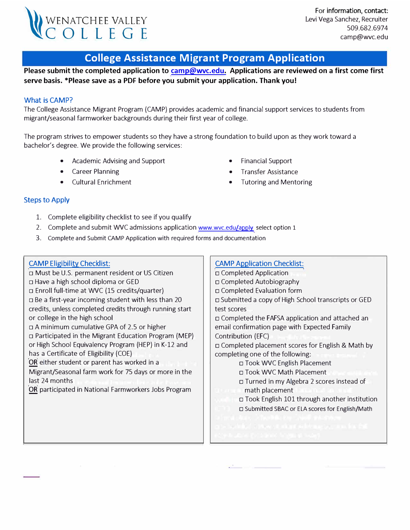

# **College Assistance Migrant Program Application**

**Please submit the completed application to [camp@wvc.edu.](mailto:camp@wvc.edu) Applications are reviewed on a first come first serve basis. \*Please save as a PDF before you submit your application. Thank you!** 

### **What is CAMP?**

The College Assistance Migrant Program (CAMP) provides academic and financial support services to students from migrant/seasonal farmworker backgrounds during their first year of college.

The program strives to empower students so they have a strong foundation to build upon as they work toward a bachelor's degree. We provide the following services:

- Academic Advising and Support
- Career Planning
- Cultural Enrichment
- Financial Support
- Transfer Assistance
- Tutoring and Mentoring

### Steps to Apply

- 1. Complete eligibility checklist to see if you qualify
- 2. Complete and submit WVC admissions application [www.wvc.edu/apply](http://www.wvc.edu/apply) select option 1
- 3. Complete and Submit CAMP Application with required forms and documentation

#### **CAMP Eligibility Checklist:**

□ Must be U.S. permanent resident or US Citizen □ Have a high school diploma or GED □ Enroll full-time at WVC (15 credits/quarter) □ Be a first-year incoming student with less than 20 credits, unless completed credits through running start or college in the high school □ A minimum cumulative GPA of 2.5 or higher □ Participated in the Migrant Education Program (MEP) or High School Equivalency Program (HEP) in K-12 and has a Certificate of Eligibility (COE) **OR** either student or parent has worked in a Migrant/Seasonal farm work for 75 days or more in the last 24 months **OR** participated in National Farmworkers Jobs Program

## **CAMP Application Checklist:**

□ Completed Application □ Completed Autobiography □ Completed Evaluation form □ Submitted a copy of High School transcripts or GED test scores

□ Completed the FAFSA application and attached an email confirmation page with Expected Family Contribution (EFC)

□ Completed placement scores for English & Math by completing one of the following:

□ Took WVC English Placement

□ Took WVC Math Placement

□ Turned in my Algebra 2 scores instead of math placement

□ Took English 101 through another institution □ Submitted SBAC or ELA scores for English/Math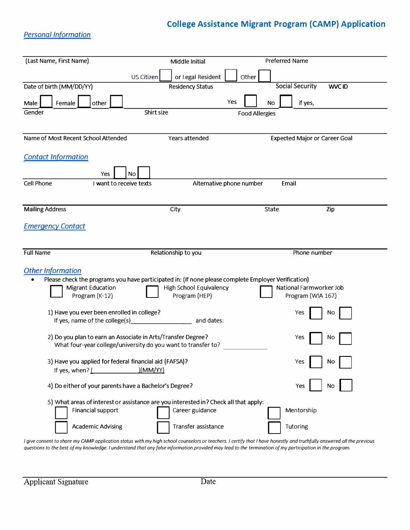# **College Assistance Migrant Program (CAMP} Application**

## *Personal Information*

| (Last Name, First Name)             |                                                                                                                               | Middle Initial                           |                          | Preferred Name                               |               |
|-------------------------------------|-------------------------------------------------------------------------------------------------------------------------------|------------------------------------------|--------------------------|----------------------------------------------|---------------|
|                                     | US Citizen                                                                                                                    | or Legal Resident                        | Other                    |                                              |               |
| Date of birth (MM/DD/YY)            |                                                                                                                               | <b>Residency Status</b>                  |                          | <b>Social Security</b>                       | <b>WVC ID</b> |
| Female<br>Male                      | other                                                                                                                         |                                          | Yes                      | if yes,<br>No                                |               |
| Gender                              | Shirt size                                                                                                                    |                                          | <b>Food Allergies</b>    |                                              |               |
|                                     |                                                                                                                               |                                          |                          |                                              |               |
| Name of Most Recent School Attended |                                                                                                                               | Years attended                           |                          | <b>Expected Major or Career Goal</b>         |               |
| <b>Contact Information</b>          |                                                                                                                               |                                          |                          |                                              |               |
|                                     |                                                                                                                               |                                          |                          |                                              |               |
| Cell Phone                          | No<br>Yes<br>I want to receive texts                                                                                          |                                          | Alternative phone number | Email                                        |               |
|                                     |                                                                                                                               |                                          |                          |                                              |               |
| <b>Mailing Address</b>              |                                                                                                                               | City                                     |                          | <b>State</b>                                 | Zip           |
| <b>Emergency Contact</b>            |                                                                                                                               |                                          |                          |                                              |               |
|                                     |                                                                                                                               |                                          |                          |                                              |               |
|                                     |                                                                                                                               |                                          |                          |                                              |               |
| <b>Full Name</b>                    |                                                                                                                               | Relationship to you                      |                          | Phone number                                 |               |
| <b>Other Information</b>            |                                                                                                                               |                                          |                          |                                              |               |
| <b>Migrant Education</b>            | Please check the programs you have participated in: (If none please complete Employer Verification)                           |                                          |                          |                                              |               |
|                                     |                                                                                                                               |                                          |                          |                                              |               |
| Program (K-12)                      |                                                                                                                               | High School Equivalency<br>Program (HEP) |                          | National Farmworker Job<br>Program (WIA 167) |               |
|                                     |                                                                                                                               |                                          |                          |                                              |               |
| If yes, name of the college(s)      | 1) Have you ever been enrolled in college?                                                                                    | and dates:                               |                          | Yes                                          | Nο            |
|                                     |                                                                                                                               |                                          |                          |                                              |               |
|                                     | 2) Do you plan to earn an Associate in Arts/Transfer Degree?<br>What four-year college/university do you want to transfer to? |                                          |                          | Yes                                          | No            |
|                                     |                                                                                                                               |                                          |                          |                                              |               |
| If yes, when? (                     | 3) Have you applied for federal financial aid (FAFSA)?<br>)(MM/YY)                                                            |                                          |                          | Yes                                          | No            |
|                                     | 4) Do either of your parents have a Bachelor's Degree?                                                                        |                                          |                          | Yes                                          | No.           |
|                                     | 5) What areas of interest or assistance are you interested in? Check all that apply:                                          |                                          |                          |                                              |               |
| Financial support                   |                                                                                                                               | Career guidance                          |                          | Mentorship                                   |               |
|                                     | <b>Academic Advising</b>                                                                                                      | Transfer assistance                      |                          | Tutoring                                     |               |

*I give consent to share my CAMP application status with my high school counselors or teachers. I certify that I have honestly and truthfully answered all the previous questions ta the best of my knowledge. I understand that any false information provided may lead ta the termination of my participation in the program.*